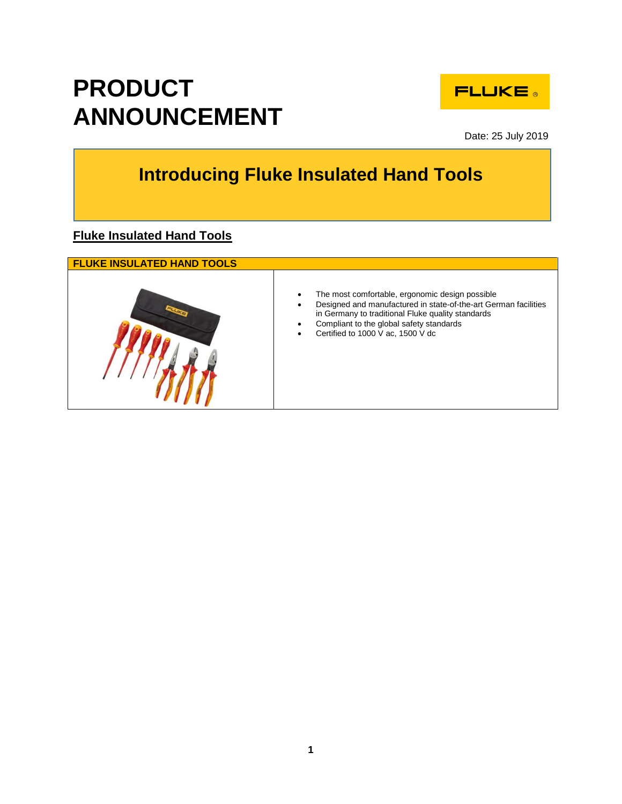

Date: 25 July 2019

## **Introducing Fluke Insulated Hand Tools**

**Fluke Insulated Hand Tools** 

**PRODUCT** 

**ANNOUNCEMENT**